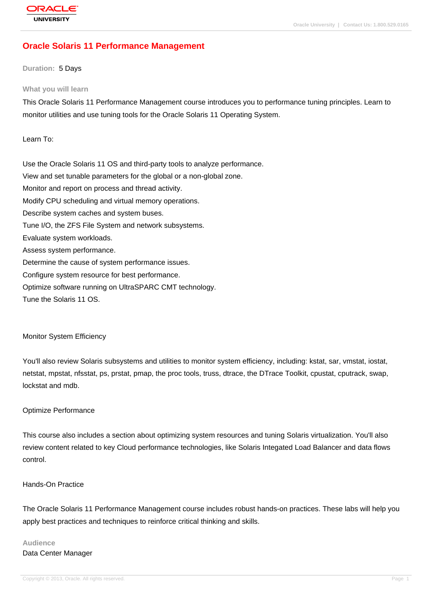# **[Oracle Solaris](http://education.oracle.com/pls/web_prod-plq-dad/db_pages.getpage?page_id=3) 11 Performance Management**

### **Duration:** 5 Days

#### **What you will learn**

This Oracle Solaris 11 Performance Management course introduces you to performance tuning principles. Learn to monitor utilities and use tuning tools for the Oracle Solaris 11 Operating System.

Learn To:

Use the Oracle Solaris 11 OS and third-party tools to analyze performance. View and set tunable parameters for the global or a non-global zone. Monitor and report on process and thread activity. Modify CPU scheduling and virtual memory operations. Describe system caches and system buses. Tune I/O, the ZFS File System and network subsystems. Evaluate system workloads. Assess system performance. Determine the cause of system performance issues. Configure system resource for best performance. Optimize software running on UltraSPARC CMT technology. Tune the Solaris 11 OS.

### Monitor System Efficiency

You'll also review Solaris subsystems and utilities to monitor system efficiency, including: kstat, sar, vmstat, iostat, netstat, mpstat, nfsstat, ps, prstat, pmap, the proc tools, truss, dtrace, the DTrace Toolkit, cpustat, cputrack, swap, lockstat and mdb.

### Optimize Performance

This course also includes a section about optimizing system resources and tuning Solaris virtualization. You'll also review content related to key Cloud performance technologies, like Solaris Integated Load Balancer and data flows control.

### Hands-On Practice

The Oracle Solaris 11 Performance Management course includes robust hands-on practices. These labs will help you apply best practices and techniques to reinforce critical thinking and skills.

## **Audience** Data Center Manager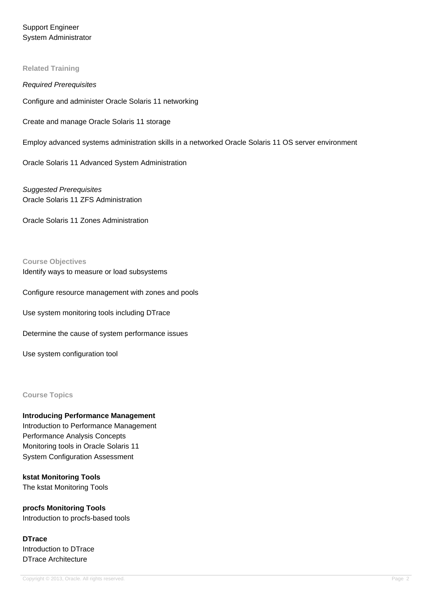Support Engineer System Administrator

### **Related Training**

Required Prerequisites Configure and administer Oracle Solaris 11 networking Create and manage Oracle Solaris 11 storage Employ advanced systems administration skills in a networked Oracle Solaris 11 OS server environment

Oracle Solaris 11 Advanced System Administration

Suggested Prerequisites Oracle Solaris 11 ZFS Administration

Oracle Solaris 11 Zones Administration

**Course Objectives** Identify ways to measure or load subsystems

Configure resource management with zones and pools

Use system monitoring tools including DTrace

Determine the cause of system performance issues

Use system configuration tool

## **Course Topics**

**Introducing Performance Management** Introduction to Performance Management Performance Analysis Concepts Monitoring tools in Oracle Solaris 11 System Configuration Assessment

**kstat Monitoring Tools** The kstat Monitoring Tools

**procfs Monitoring Tools** Introduction to procfs-based tools

**DTrace** Introduction to DTrace DTrace Architecture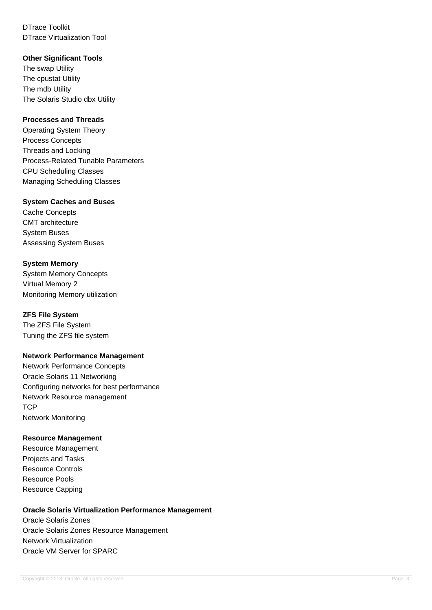DTrace Toolkit DTrace Virtualization Tool

## **Other Significant Tools**

The swap Utility The cpustat Utility The mdb Utility The Solaris Studio dbx Utility

## **Processes and Threads**

Operating System Theory Process Concepts Threads and Locking Process-Related Tunable Parameters CPU Scheduling Classes Managing Scheduling Classes

## **System Caches and Buses**

Cache Concepts CMT architecture System Buses Assessing System Buses

## **System Memory**

System Memory Concepts Virtual Memory 2 Monitoring Memory utilization

## **ZFS File System**

The ZFS File System Tuning the ZFS file system

## **Network Performance Management**

Network Performance Concepts Oracle Solaris 11 Networking Configuring networks for best performance Network Resource management **TCP** Network Monitoring

## **Resource Management**

Resource Management Projects and Tasks Resource Controls Resource Pools Resource Capping

## **Oracle Solaris Virtualization Performance Management**

Oracle Solaris Zones Oracle Solaris Zones Resource Management Network Virtualization Oracle VM Server for SPARC